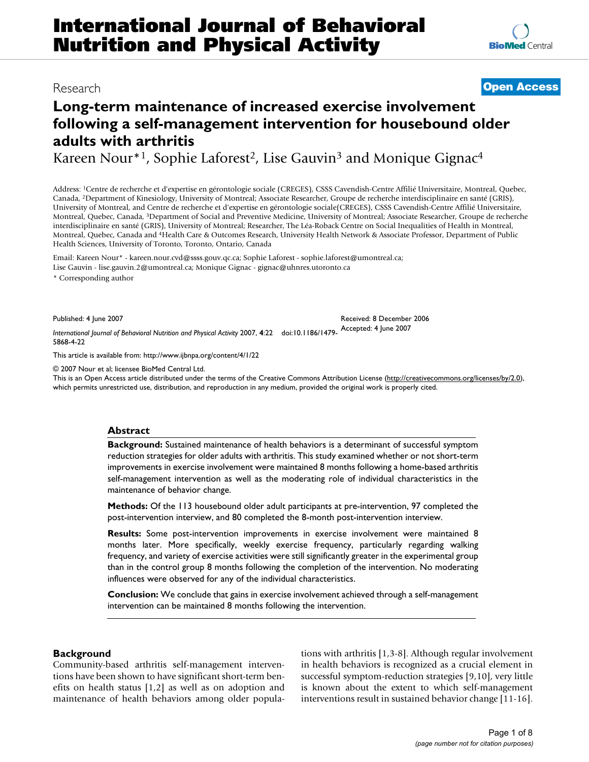# **Long-term maintenance of increased exercise involvement following a self-management intervention for housebound older adults with arthritis**

Kareen Nour<sup>\*1</sup>, Sophie Laforest<sup>2</sup>, Lise Gauvin<sup>3</sup> and Monique Gignac<sup>4</sup>

Address: 1Centre de recherche et d'expertise en gérontologie sociale (CREGES), CSSS Cavendish-Centre Affilié Universitaire, Montreal, Quebec, Canada, 2Department of Kinesiology, University of Montreal; Associate Researcher, Groupe de recherche interdisciplinaire en santé (GRIS), University of Montreal, and Centre de recherche et d'expertise en gérontologie sociale(CREGES), CSSS Cavendish-Centre Affilié Universitaire, Montreal, Quebec, Canada, 3Department of Social and Preventive Medicine, University of Montreal; Associate Researcher, Groupe de recherche interdisciplinaire en santé (GRIS), University of Montreal; Researcher, The Léa-Roback Centre on Social Inequalities of Health in Montreal, Montreal, Quebec, Canada and 4Health Care & Outcomes Research, University Health Network & Associate Professor, Department of Public Health Sciences, University of Toronto, Toronto, Ontario, Canada

Email: Kareen Nour\* - kareen.nour.cvd@ssss.gouv.qc.ca; Sophie Laforest - sophie.laforest@umontreal.ca; Lise Gauvin - lise.gauvin.2@umontreal.ca; Monique Gignac - gignac@uhnres.utoronto.ca

\* Corresponding author

Published: 4 June 2007

*International Journal of Behavioral Nutrition and Physical Activity* 2007, **4**:22 doi:10.1186/1479- 5868-4-22

[This article is available from: http://www.ijbnpa.org/content/4/1/22](http://www.ijbnpa.org/content/4/1/22)

© 2007 Nour et al; licensee BioMed Central Ltd.

This is an Open Access article distributed under the terms of the Creative Commons Attribution License [\(http://creativecommons.org/licenses/by/2.0\)](http://creativecommons.org/licenses/by/2.0), which permits unrestricted use, distribution, and reproduction in any medium, provided the original work is properly cited.

# **Abstract**

**Background:** Sustained maintenance of health behaviors is a determinant of successful symptom reduction strategies for older adults with arthritis. This study examined whether or not short-term improvements in exercise involvement were maintained 8 months following a home-based arthritis self-management intervention as well as the moderating role of individual characteristics in the maintenance of behavior change.

**Methods:** Of the 113 housebound older adult participants at pre-intervention, 97 completed the post-intervention interview, and 80 completed the 8-month post-intervention interview.

**Results:** Some post-intervention improvements in exercise involvement were maintained 8 months later. More specifically, weekly exercise frequency, particularly regarding walking frequency, and variety of exercise activities were still significantly greater in the experimental group than in the control group 8 months following the completion of the intervention. No moderating influences were observed for any of the individual characteristics.

**Conclusion:** We conclude that gains in exercise involvement achieved through a self-management intervention can be maintained 8 months following the intervention.

# **Background**

Community-based arthritis self-management interventions have been shown to have significant short-term benefits on health status [1,2] as well as on adoption and maintenance of health behaviors among older populations with arthritis [1,3-8]. Although regular involvement in health behaviors is recognized as a crucial element in successful symptom-reduction strategies [9,10], very little is known about the extent to which self-management interventions result in sustained behavior change [11-16].



# Research **[Open Access](http://www.biomedcentral.com/info/about/charter/)**

Received: 8 December 2006 Accepted: 4 June 2007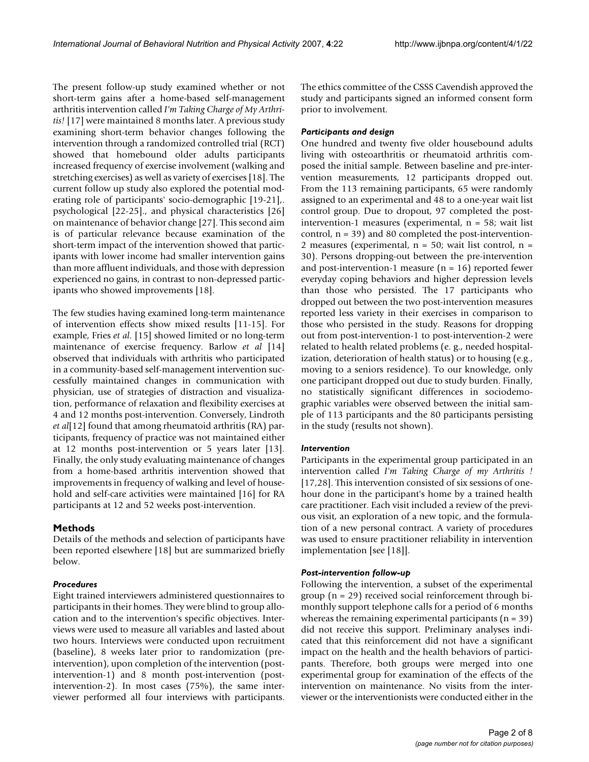The present follow-up study examined whether or not short-term gains after a home-based self-management arthritis intervention called *I'm Taking Charge of My Arthritis!* [17] were maintained 8 months later. A previous study examining short-term behavior changes following the intervention through a randomized controlled trial (RCT) showed that homebound older adults participants increased frequency of exercise involvement (walking and stretching exercises) as well as variety of exercises [18]. The current follow up study also explored the potential moderating role of participants' socio-demographic [19-21],. psychological [22-25]., and physical characteristics [26] on maintenance of behavior change [27]. This second aim is of particular relevance because examination of the short-term impact of the intervention showed that participants with lower income had smaller intervention gains than more affluent individuals, and those with depression experienced no gains, in contrast to non-depressed participants who showed improvements [18].

The few studies having examined long-term maintenance of intervention effects show mixed results [11-15]. For example, Fries *et al*. [15] showed limited or no long-term maintenance of exercise frequency. Barlow *et al* [14] observed that individuals with arthritis who participated in a community-based self-management intervention successfully maintained changes in communication with physician, use of strategies of distraction and visualization, performance of relaxation and flexibility exercises at 4 and 12 months post-intervention. Conversely, Lindroth *et al*[12] found that among rheumatoid arthritis (RA) participants, frequency of practice was not maintained either at 12 months post-intervention or 5 years later [13]. Finally, the only study evaluating maintenance of changes from a home-based arthritis intervention showed that improvements in frequency of walking and level of household and self-care activities were maintained [16] for RA participants at 12 and 52 weeks post-intervention.

### **Methods**

Details of the methods and selection of participants have been reported elsewhere [18] but are summarized briefly below.

#### *Procedures*

Eight trained interviewers administered questionnaires to participants in their homes. They were blind to group allocation and to the intervention's specific objectives. Interviews were used to measure all variables and lasted about two hours. Interviews were conducted upon recruitment (baseline), 8 weeks later prior to randomization (preintervention), upon completion of the intervention (postintervention-1) and 8 month post-intervention (postintervention-2). In most cases (75%), the same interviewer performed all four interviews with participants.

The ethics committee of the CSSS Cavendish approved the study and participants signed an informed consent form prior to involvement.

#### *Participants and design*

One hundred and twenty five older housebound adults living with osteoarthritis or rheumatoid arthritis composed the initial sample. Between baseline and pre-intervention measurements, 12 participants dropped out. From the 113 remaining participants, 65 were randomly assigned to an experimental and 48 to a one-year wait list control group. Due to dropout, 97 completed the postintervention-1 measures (experimental,  $n = 58$ ; wait list control,  $n = 39$ ) and 80 completed the post-intervention-2 measures (experimental,  $n = 50$ ; wait list control,  $n =$ 30). Persons dropping-out between the pre-intervention and post-intervention-1 measure  $(n = 16)$  reported fewer everyday coping behaviors and higher depression levels than those who persisted. The 17 participants who dropped out between the two post-intervention measures reported less variety in their exercises in comparison to those who persisted in the study. Reasons for dropping out from post-intervention-1 to post-intervention-2 were related to health related problems (e. g., needed hospitalization, deterioration of health status) or to housing (e.g., moving to a seniors residence). To our knowledge, only one participant dropped out due to study burden. Finally, no statistically significant differences in sociodemographic variables were observed between the initial sample of 113 participants and the 80 participants persisting in the study (results not shown).

#### *Intervention*

Participants in the experimental group participated in an intervention called *I'm Taking Charge of my Arthritis !* [17,28]. This intervention consisted of six sessions of onehour done in the participant's home by a trained health care practitioner. Each visit included a review of the previous visit, an exploration of a new topic, and the formulation of a new personal contract. A variety of procedures was used to ensure practitioner reliability in intervention implementation [see [18]].

#### *Post-intervention follow-up*

Following the intervention, a subset of the experimental group (n = 29) received social reinforcement through bimonthly support telephone calls for a period of 6 months whereas the remaining experimental participants  $(n = 39)$ did not receive this support. Preliminary analyses indicated that this reinforcement did not have a significant impact on the health and the health behaviors of participants. Therefore, both groups were merged into one experimental group for examination of the effects of the intervention on maintenance. No visits from the interviewer or the interventionists were conducted either in the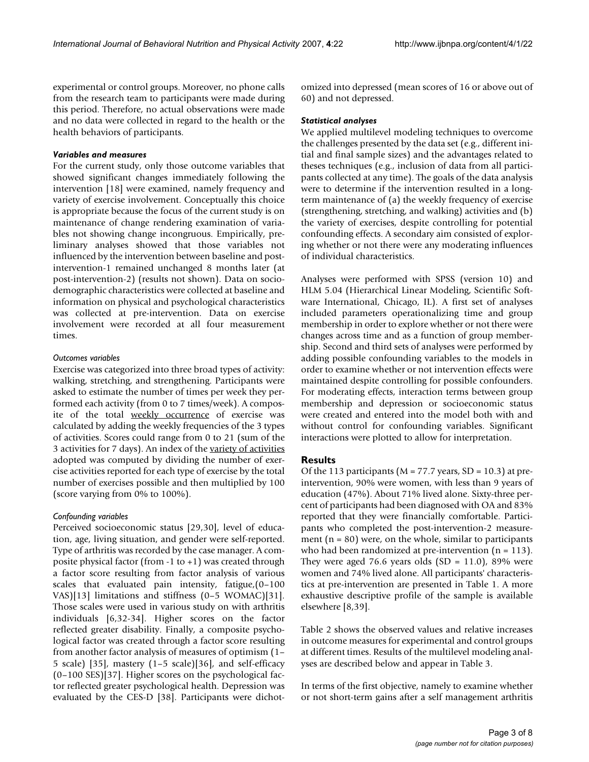experimental or control groups. Moreover, no phone calls from the research team to participants were made during this period. Therefore, no actual observations were made and no data were collected in regard to the health or the health behaviors of participants.

#### *Variables and measures*

For the current study, only those outcome variables that showed significant changes immediately following the intervention [18] were examined, namely frequency and variety of exercise involvement. Conceptually this choice is appropriate because the focus of the current study is on maintenance of change rendering examination of variables not showing change incongruous. Empirically, preliminary analyses showed that those variables not influenced by the intervention between baseline and postintervention-1 remained unchanged 8 months later (at post-intervention-2) (results not shown). Data on sociodemographic characteristics were collected at baseline and information on physical and psychological characteristics was collected at pre-intervention. Data on exercise involvement were recorded at all four measurement times.

#### *Outcomes variables*

Exercise was categorized into three broad types of activity: walking, stretching, and strengthening. Participants were asked to estimate the number of times per week they performed each activity (from 0 to 7 times/week). A composite of the total weekly occurrence of exercise was calculated by adding the weekly frequencies of the 3 types of activities. Scores could range from 0 to 21 (sum of the 3 activities for 7 days). An index of the variety of activities adopted was computed by dividing the number of exercise activities reported for each type of exercise by the total number of exercises possible and then multiplied by 100 (score varying from 0% to 100%).

### *Confounding variables*

Perceived socioeconomic status [29,30], level of education, age, living situation, and gender were self-reported. Type of arthritis was recorded by the case manager. A composite physical factor (from -1 to +1) was created through a factor score resulting from factor analysis of various scales that evaluated pain intensity, fatigue,(0–100 VAS)[13] limitations and stiffness (0–5 WOMAC)[31]. Those scales were used in various study on with arthritis individuals [6,32-34]. Higher scores on the factor reflected greater disability. Finally, a composite psychological factor was created through a factor score resulting from another factor analysis of measures of optimism (1– 5 scale) [35], mastery (1–5 scale)[36], and self-efficacy (0–100 SES)[37]. Higher scores on the psychological factor reflected greater psychological health. Depression was evaluated by the CES-D [38]. Participants were dichotomized into depressed (mean scores of 16 or above out of 60) and not depressed.

#### *Statistical analyses*

We applied multilevel modeling techniques to overcome the challenges presented by the data set (e.g., different initial and final sample sizes) and the advantages related to theses techniques (e.g., inclusion of data from all participants collected at any time). The goals of the data analysis were to determine if the intervention resulted in a longterm maintenance of (a) the weekly frequency of exercise (strengthening, stretching, and walking) activities and (b) the variety of exercises, despite controlling for potential confounding effects. A secondary aim consisted of exploring whether or not there were any moderating influences of individual characteristics.

Analyses were performed with SPSS (version 10) and HLM 5.04 (Hierarchical Linear Modeling, Scientific Software International, Chicago, IL). A first set of analyses included parameters operationalizing time and group membership in order to explore whether or not there were changes across time and as a function of group membership. Second and third sets of analyses were performed by adding possible confounding variables to the models in order to examine whether or not intervention effects were maintained despite controlling for possible confounders. For moderating effects, interaction terms between group membership and depression or socioeconomic status were created and entered into the model both with and without control for confounding variables. Significant interactions were plotted to allow for interpretation.

### **Results**

Of the 113 participants ( $M = 77.7$  years, SD = 10.3) at preintervention, 90% were women, with less than 9 years of education (47%). About 71% lived alone. Sixty-three percent of participants had been diagnosed with OA and 83% reported that they were financially comfortable. Participants who completed the post-intervention-2 measurement ( $n = 80$ ) were, on the whole, similar to participants who had been randomized at pre-intervention  $(n = 113)$ . They were aged 76.6 years olds  $(SD = 11.0)$ , 89% were women and 74% lived alone. All participants' characteristics at pre-intervention are presented in Table 1. A more exhaustive descriptive profile of the sample is available elsewhere [8,39].

Table 2 shows the observed values and relative increases in outcome measures for experimental and control groups at different times. Results of the multilevel modeling analyses are described below and appear in Table 3.

In terms of the first objective, namely to examine whether or not short-term gains after a self management arthritis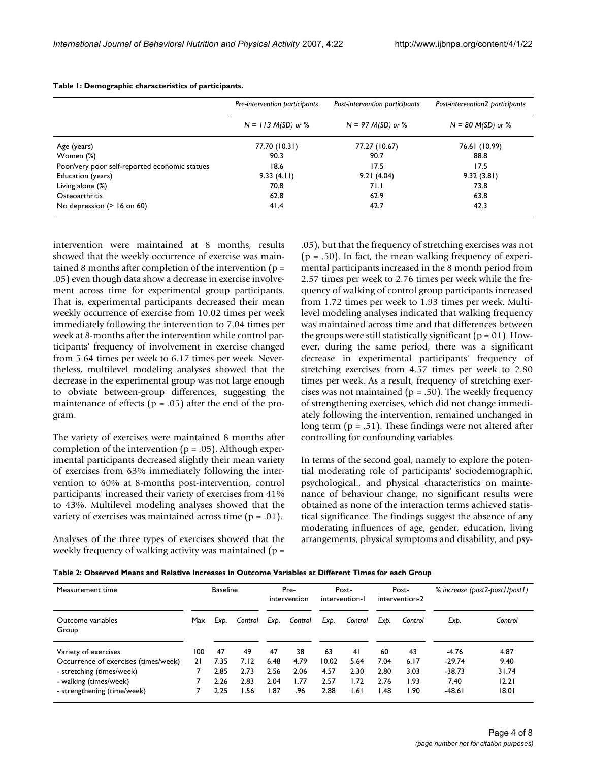|                                               | Pre-intervention participants | Post-intervention participants | Post-intervention2 participants |  |  |  |
|-----------------------------------------------|-------------------------------|--------------------------------|---------------------------------|--|--|--|
|                                               | $N = 113 M(SD)$ or %          | $N = 97 M(SD)$ or %            | $N = 80$ M(SD) or %             |  |  |  |
| Age (years)                                   | 77.70 (10.31)                 | 77.27 (10.67)                  | 76.61 (10.99)                   |  |  |  |
| Women (%)                                     | 90.3                          | 90.7                           | 88.8                            |  |  |  |
| Poor/very poor self-reported economic statues | 18.6                          | 17.5                           | 17.5                            |  |  |  |
| Education (years)                             | 9.33(4.11)                    | 9.21(4.04)                     | 9.32(3.81)                      |  |  |  |
| Living alone (%)                              | 70.8                          | 71.I                           | 73.8                            |  |  |  |
| Osteoarthritis                                | 62.8                          | 62.9                           | 63.8                            |  |  |  |
| No depression $($ > 16 on 60)                 | 41.4                          | 42.7                           | 42.3                            |  |  |  |

**Table 1: Demographic characteristics of participants.**

intervention were maintained at 8 months, results showed that the weekly occurrence of exercise was maintained 8 months after completion of the intervention (p = .05) even though data show a decrease in exercise involvement across time for experimental group participants. That is, experimental participants decreased their mean weekly occurrence of exercise from 10.02 times per week immediately following the intervention to 7.04 times per week at 8-months after the intervention while control participants' frequency of involvement in exercise changed from 5.64 times per week to 6.17 times per week. Nevertheless, multilevel modeling analyses showed that the decrease in the experimental group was not large enough to obviate between-group differences, suggesting the maintenance of effects ( $p = .05$ ) after the end of the program.

The variety of exercises were maintained 8 months after completion of the intervention ( $p = .05$ ). Although experimental participants decreased slightly their mean variety of exercises from 63% immediately following the intervention to 60% at 8-months post-intervention, control participants' increased their variety of exercises from 41% to 43%. Multilevel modeling analyses showed that the variety of exercises was maintained across time  $(p = .01)$ .

Analyses of the three types of exercises showed that the weekly frequency of walking activity was maintained ( $p =$ 

.05), but that the frequency of stretching exercises was not  $(p = .50)$ . In fact, the mean walking frequency of experimental participants increased in the 8 month period from 2.57 times per week to 2.76 times per week while the frequency of walking of control group participants increased from 1.72 times per week to 1.93 times per week. Multilevel modeling analyses indicated that walking frequency was maintained across time and that differences between the groups were still statistically significant  $(p = .01)$ . However, during the same period, there was a significant decrease in experimental participants' frequency of stretching exercises from 4.57 times per week to 2.80 times per week. As a result, frequency of stretching exercises was not maintained ( $p = .50$ ). The weekly frequency of strengthening exercises, which did not change immediately following the intervention, remained unchanged in long term ( $p = .51$ ). These findings were not altered after controlling for confounding variables.

In terms of the second goal, namely to explore the potential moderating role of participants' sociodemographic, psychological., and physical characteristics on maintenance of behaviour change, no significant results were obtained as none of the interaction terms achieved statistical significance. The findings suggest the absence of any moderating influences of age, gender, education, living arrangements, physical symptoms and disability, and psy-

| Measurement time                     |     | <b>Baseline</b> |         |      | Pre-<br>intervention |       | Post-<br>intervention-1 |      | Post-<br>intervention-2 | % increase (post2-post1/post1) |         |
|--------------------------------------|-----|-----------------|---------|------|----------------------|-------|-------------------------|------|-------------------------|--------------------------------|---------|
| Outcome variables<br>Group           | Max | Exp.            | Control | Exp. | Control              | Exp.  | Control                 | Exp. | Control                 | Exp.                           | Control |
| Variety of exercises                 | 100 | 47              | 49      | 47   | 38                   | 63    | 41                      | 60   | 43                      | $-4.76$                        | 4.87    |
| Occurrence of exercises (times/week) | 21  | 7.35            | 7.12    | 6.48 | 4.79                 | 10.02 | 5.64                    | 7.04 | 6.17                    | $-29.74$                       | 9.40    |
| - stretching (times/week)            |     | 2.85            | 2.73    | 2.56 | 2.06                 | 4.57  | 2.30                    | 2.80 | 3.03                    | $-38.73$                       | 31.74   |
| - walking (times/week)               |     | 2.26            | 2.83    | 2.04 | l.77                 | 2.57  | l.72                    | 2.76 | 1.93                    | 7.40                           | 12.21   |
| - strengthening (time/week)          |     | 2.25            | I.56    | 1.87 | .96                  | 2.88  | I.61                    | l.48 | I.90                    | $-48.61$                       | 18.01   |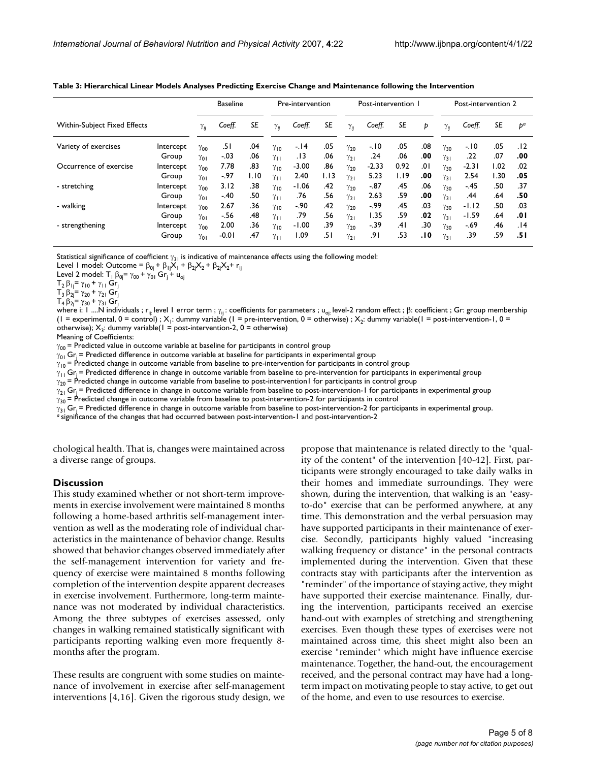|                                     |           | <b>Baseline</b> |         |      | Pre-intervention |         |      | Post-intervention I |         |      |     | Post-intervention 2 |         |      |       |
|-------------------------------------|-----------|-----------------|---------|------|------------------|---------|------|---------------------|---------|------|-----|---------------------|---------|------|-------|
| <b>Within-Subject Fixed Effects</b> |           | $\gamma_{ii}$   | Coeff.  | SE   | $\gamma_{ii}$    | Coeff.  | SE   | $\gamma_{ii}$       | Coeff.  | SE   | Þ   | $\gamma_{ii}$       | Coeff.  | SE   | $b^a$ |
| Variety of exercises                | Intercept | $\gamma_{00}$   | .51     | .04  | $\gamma_{10}$    | -. 14   | .05  | $\gamma_{20}$       | $-10$   | .05  | .08 | $\gamma_{30}$       | $-.10$  | .05  | .12   |
|                                     | Group     | $\gamma_{01}$   | $-.03$  | .06  | $\gamma_{11}$    | . 13    | .06  | $\gamma_{21}$       | .24     | .06  | .00 | $\gamma_{31}$       | .22     | .07  | .00   |
| Occurrence of exercise              | Intercept | $\gamma_{00}$   | 7.78    | .83  | $\gamma_{10}$    | $-3.00$ | .86  | $\gamma_{20}$       | $-2.33$ | 0.92 | .01 | $\gamma_{30}$       | $-2.31$ | 1.02 | .02   |
|                                     | Group     | $\gamma_{01}$   | -.97    | 1.10 | $\gamma_{11}$    | 2.40    | 1.13 | $\gamma_{21}$       | 5.23    | I.I9 | .00 | $\gamma_{31}$       | 2.54    | .30  | .05   |
| - stretching                        | Intercept | $\gamma_{00}$   | 3.12    | .38  | $\gamma_{10}$    | $-1.06$ | .42  | $\gamma_{20}$       | $-87$   | .45  | .06 | $\gamma_{30}$       | $-.45$  | .50  | .37   |
|                                     | Group     | $\gamma_{01}$   | $-.40$  | .50  | $\gamma_{11}$    | .76     | .56  | $\gamma_{21}$       | 2.63    | .59  | .00 | $\gamma_{31}$       | .44     | .64  | .50   |
| - walking                           | Intercept | $\gamma_{00}$   | 2.67    | .36  | $\gamma_{10}$    | $-.90$  | .42  | $\gamma_{20}$       | $-99$   | .45  | .03 | $\gamma_{30}$       | $-1.12$ | .50  | .03   |
|                                     | Group     | $\gamma_{01}$   | -.56    | .48  | $\gamma_{11}$    | .79     | .56  | $\gamma_{21}$       | 1.35    | .59  | .02 | $\gamma_{31}$       | $-1.59$ | .64  | .01   |
| - strengthening                     | Intercept | $\gamma_{00}$   | 2.00    | .36  | $\gamma_{10}$    | $-1.00$ | .39  | $\gamma_{20}$       | $-39$   | ا4.  | .30 | $\gamma_{30}$       | $-.69$  | .46  | 14.   |
|                                     | Group     | $\gamma_{01}$   | $-0.01$ | .47  | $\gamma_{11}$    | 1.09    | ا 5. | $\gamma_{21}$       | .9۱     | .53  | 10. | $\gamma_{31}$       | .39     | .59  | .51   |

**Table 3: Hierarchical Linear Models Analyses Predicting Exercise Change and Maintenance following the Intervention**

Statistical significance of coefficient  $\gamma_{31}$  is indicative of maintenance effects using the following model:

Level 1 model: Outcome =  $\beta_{0i}$  +  $\beta_{1i}X_1$  +  $\beta_{2i}X_2$  +  $\beta_{2i}X_2$  +  $r_{ii}$ 

Level 2 model:  $T_1 \beta_{0j} = \gamma_{00} + \gamma_{01} Gr_1 + u_{0j}$ 

 $T_2$  β<sub>1j</sub>= γ<sub>10</sub> + γ<sub>11</sub> Gr<sub>j</sub>

 $T_3$  β<sub>2j</sub>= γ<sub>20</sub> + γ<sub>21</sub> Gr<sub>j</sub>

 $T_4 \beta_{2i} = \gamma_{30} + \gamma_{31}$  Gr<sub>j</sub>

where i: 1 ....N individuals ; r<sub>ij:</sub> level 1 error term ;  $γ_{ij}$ : coefficients for parameters ; u<sub>oj:</sub> level-2 random effect ; β: coefficient ; Gr: group membership (1 = experimental, 0 = control) ;  $X_1$ : dummy variable (1 = pre-intervention, 0 = otherwise) ;  $X_2$ : dummy variable(1 = post-intervention-1, 0 = otherwise);  $X_3$ : dummy variable(1 = post-intervention-2, 0 = otherwise)

Meaning of Coefficients:

 $\gamma_{00}$  = Predicted value in outcome variable at baseline for participants in control group

 $\gamma_{01}$  Gr<sub>i</sub> = Predicted difference in outcome variable at baseline for participants in experimental group

 $\gamma_{10}$  = Predicted change in outcome variable from baseline to pre-intervention for participants in control group

 $\gamma_{11}$  Gr<sub>i</sub> = Predicted difference in change in outcome variable from baseline to pre-intervention for participants in experimental group

 $\gamma_{20}$  = Predicted change in outcome variable from baseline to post-intervention1 for participants in control group

 $\gamma_{21}$  Gr<sub>i</sub> = Predicted difference in change in outcome variable from baseline to post-intervention-1 for participants in experimental group

 $\gamma_{30}$  = Predicted change in outcome variable from baseline to post-intervention-2 for participants in control

 $\gamma_{31}$  Gr<sub>j</sub> = Predicted difference in change in outcome variable from baseline to post-intervention-2 for participants in experimental group.<br><sup>*a*</sup> significance of the changes that had occurred between post-interventio

chological health. That is, changes were maintained across a diverse range of groups.

#### **Discussion**

This study examined whether or not short-term improvements in exercise involvement were maintained 8 months following a home-based arthritis self-management intervention as well as the moderating role of individual characteristics in the maintenance of behavior change. Results showed that behavior changes observed immediately after the self-management intervention for variety and frequency of exercise were maintained 8 months following completion of the intervention despite apparent decreases in exercise involvement. Furthermore, long-term maintenance was not moderated by individual characteristics. Among the three subtypes of exercises assessed, only changes in walking remained statistically significant with participants reporting walking even more frequently 8 months after the program.

These results are congruent with some studies on maintenance of involvement in exercise after self-management interventions [4,16]. Given the rigorous study design, we propose that maintenance is related directly to the "quality of the content" of the intervention [40-42]. First, participants were strongly encouraged to take daily walks in their homes and immediate surroundings. They were shown, during the intervention, that walking is an "easyto-do" exercise that can be performed anywhere, at any time. This demonstration and the verbal persuasion may have supported participants in their maintenance of exercise. Secondly, participants highly valued "increasing walking frequency or distance" in the personal contracts implemented during the intervention. Given that these contracts stay with participants after the intervention as "reminder" of the importance of staying active, they might have supported their exercise maintenance. Finally, during the intervention, participants received an exercise hand-out with examples of stretching and strengthening exercises. Even though these types of exercises were not maintained across time, this sheet might also been an exercise "reminder" which might have influence exercise maintenance. Together, the hand-out, the encouragement received, and the personal contract may have had a longterm impact on motivating people to stay active, to get out of the home, and even to use resources to exercise.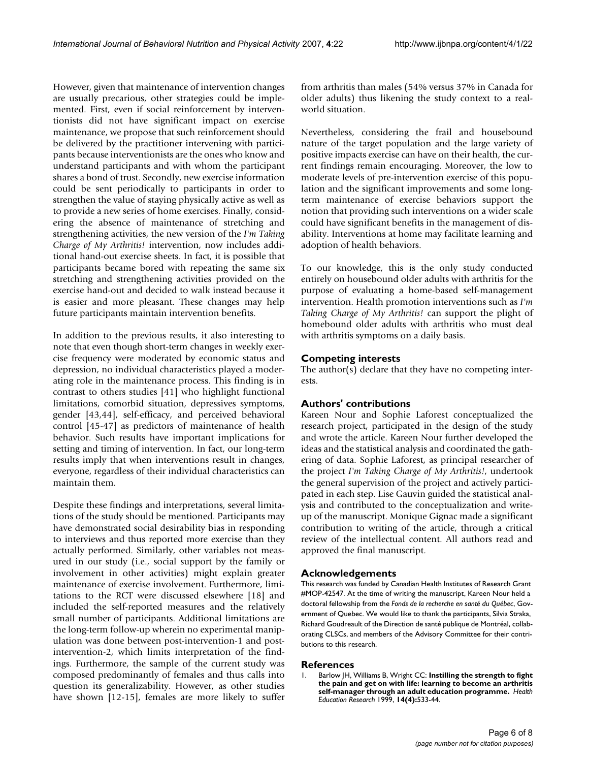However, given that maintenance of intervention changes are usually precarious, other strategies could be implemented. First, even if social reinforcement by interventionists did not have significant impact on exercise maintenance, we propose that such reinforcement should be delivered by the practitioner intervening with participants because interventionists are the ones who know and understand participants and with whom the participant shares a bond of trust. Secondly, new exercise information could be sent periodically to participants in order to strengthen the value of staying physically active as well as to provide a new series of home exercises. Finally, considering the absence of maintenance of stretching and strengthening activities, the new version of the *I'm Taking Charge of My Arthritis!* intervention, now includes additional hand-out exercise sheets. In fact, it is possible that participants became bored with repeating the same six stretching and strengthening activities provided on the exercise hand-out and decided to walk instead because it is easier and more pleasant. These changes may help future participants maintain intervention benefits.

In addition to the previous results, it also interesting to note that even though short-term changes in weekly exercise frequency were moderated by economic status and depression, no individual characteristics played a moderating role in the maintenance process. This finding is in contrast to others studies [41] who highlight functional limitations, comorbid situation, depressives symptoms, gender [43,44], self-efficacy, and perceived behavioral control [45-47] as predictors of maintenance of health behavior. Such results have important implications for setting and timing of intervention. In fact, our long-term results imply that when interventions result in changes, everyone, regardless of their individual characteristics can maintain them.

Despite these findings and interpretations, several limitations of the study should be mentioned. Participants may have demonstrated social desirability bias in responding to interviews and thus reported more exercise than they actually performed. Similarly, other variables not measured in our study (i.e., social support by the family or involvement in other activities) might explain greater maintenance of exercise involvement. Furthermore, limitations to the RCT were discussed elsewhere [18] and included the self-reported measures and the relatively small number of participants. Additional limitations are the long-term follow-up wherein no experimental manipulation was done between post-intervention-1 and postintervention-2, which limits interpretation of the findings. Furthermore, the sample of the current study was composed predominantly of females and thus calls into question its generalizability. However, as other studies have shown [12-15], females are more likely to suffer from arthritis than males (54% versus 37% in Canada for older adults) thus likening the study context to a realworld situation.

Nevertheless, considering the frail and housebound nature of the target population and the large variety of positive impacts exercise can have on their health, the current findings remain encouraging. Moreover, the low to moderate levels of pre-intervention exercise of this population and the significant improvements and some longterm maintenance of exercise behaviors support the notion that providing such interventions on a wider scale could have significant benefits in the management of disability. Interventions at home may facilitate learning and adoption of health behaviors.

To our knowledge, this is the only study conducted entirely on housebound older adults with arthritis for the purpose of evaluating a home-based self-management intervention. Health promotion interventions such as *I'm Taking Charge of My Arthritis!* can support the plight of homebound older adults with arthritis who must deal with arthritis symptoms on a daily basis.

# **Competing interests**

The author(s) declare that they have no competing interests.

# **Authors' contributions**

Kareen Nour and Sophie Laforest conceptualized the research project, participated in the design of the study and wrote the article. Kareen Nour further developed the ideas and the statistical analysis and coordinated the gathering of data. Sophie Laforest, as principal researcher of the project *I'm Taking Charge of My Arthritis!*, undertook the general supervision of the project and actively participated in each step. Lise Gauvin guided the statistical analysis and contributed to the conceptualization and writeup of the manuscript. Monique Gignac made a significant contribution to writing of the article, through a critical review of the intellectual content. All authors read and approved the final manuscript.

# **Acknowledgements**

This research was funded by Canadian Health Institutes of Research Grant #MOP-42547. At the time of writing the manuscript, Kareen Nour held a doctoral fellowship from the *Fonds de la recherche en santé du Québec*, Government of Quebec. We would like to thank the participants, Silvia Straka, Richard Goudreault of the Direction de santé publique de Montréal, collaborating CLSCs, and members of the Advisory Committee for their contributions to this research.

# **References**

1. Barlow JH, Williams B, Wright CC: **[Instilling the strength to fight](http://www.ncbi.nlm.nih.gov/entrez/query.fcgi?cmd=Retrieve&db=PubMed&dopt=Abstract&list_uids=10557523) [the pain and get on with life: learning to become an arthritis](http://www.ncbi.nlm.nih.gov/entrez/query.fcgi?cmd=Retrieve&db=PubMed&dopt=Abstract&list_uids=10557523) [self-manager through an adult education programme.](http://www.ncbi.nlm.nih.gov/entrez/query.fcgi?cmd=Retrieve&db=PubMed&dopt=Abstract&list_uids=10557523)** *Health Education Research* 1999, **14(4):**533-44.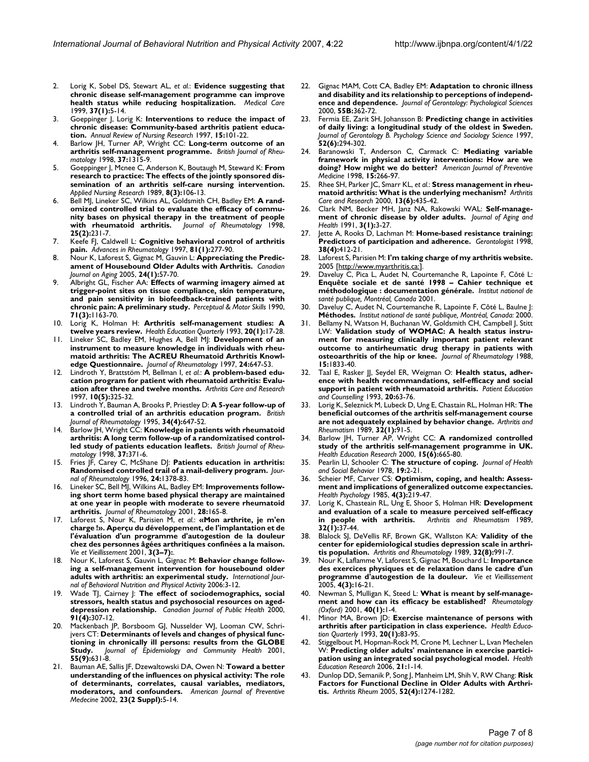- 2. Lorig K, Sobel DS, Stewart AL, *et al.*: **[Evidence suggesting that](http://www.ncbi.nlm.nih.gov/entrez/query.fcgi?cmd=Retrieve&db=PubMed&dopt=Abstract&list_uids=10413387) [chronic disease self-management programme can improve](http://www.ncbi.nlm.nih.gov/entrez/query.fcgi?cmd=Retrieve&db=PubMed&dopt=Abstract&list_uids=10413387) [health status while reducing hospitalization.](http://www.ncbi.nlm.nih.gov/entrez/query.fcgi?cmd=Retrieve&db=PubMed&dopt=Abstract&list_uids=10413387)** *Medical Care* 1999, **37(1):**5-14.
- 3. Goeppinger J, Lorig K: **[Interventions to reduce the impact of](http://www.ncbi.nlm.nih.gov/entrez/query.fcgi?cmd=Retrieve&db=PubMed&dopt=Abstract&list_uids=9262789) [chronic disease: Community-based arthritis patient educa](http://www.ncbi.nlm.nih.gov/entrez/query.fcgi?cmd=Retrieve&db=PubMed&dopt=Abstract&list_uids=9262789)[tion.](http://www.ncbi.nlm.nih.gov/entrez/query.fcgi?cmd=Retrieve&db=PubMed&dopt=Abstract&list_uids=9262789)** *Annual Review of Nursing Research* 1997, **15:**101-22.
- 4. Barlow JH, Turner AP, Wright CC: **[Long-term outcome of an](http://www.ncbi.nlm.nih.gov/entrez/query.fcgi?cmd=Retrieve&db=PubMed&dopt=Abstract&list_uids=9973156) [arthritis self-management programme.](http://www.ncbi.nlm.nih.gov/entrez/query.fcgi?cmd=Retrieve&db=PubMed&dopt=Abstract&list_uids=9973156)** *British Journal of Rheumatology* 1998, **37:**1315-9.
- 5. Goeppinger J, Mcnee C, Anderson K, Boutaugh M, Steward K: **From research to practice: The effects of the jointly sponsored dissemination of an arthritis self-care nursing intervention.** *Applied Nursing Research* 1989, **8(3):**106-13.
- 6. Bell MJ, Lineker SC, Wilkins AL, Goldsmith CH, Badley EM: **[A rand](http://www.ncbi.nlm.nih.gov/entrez/query.fcgi?cmd=Retrieve&db=PubMed&dopt=Abstract&list_uids=9489812)omized controlled trial to evaluate the efficacy of commu[nity bases on physical therapy in the treatment of people](http://www.ncbi.nlm.nih.gov/entrez/query.fcgi?cmd=Retrieve&db=PubMed&dopt=Abstract&list_uids=9489812) [with rheumatoid arthritis.](http://www.ncbi.nlm.nih.gov/entrez/query.fcgi?cmd=Retrieve&db=PubMed&dopt=Abstract&list_uids=9489812)** *Journal of Rheumatology* 1998, **25(2):**231-7.
- 7. Keefe FJ, Caldwell L: **Cognitive behavioral control of arthritis pain.** *Advances in Rheumatology* 1997, **81(1):**277-90.
- 8. Nour K, Laforest S, Gignac M, Gauvin L: **[Appreciating the Predic](http://www.ncbi.nlm.nih.gov/entrez/query.fcgi?cmd=Retrieve&db=PubMed&dopt=Abstract&list_uids=15838826)[ament of Housebound Older Adults with Arthritis.](http://www.ncbi.nlm.nih.gov/entrez/query.fcgi?cmd=Retrieve&db=PubMed&dopt=Abstract&list_uids=15838826)** *Canadian Journal on Aging* 2005, **24(1):**57-70.
- 9. Albright GL, Fischer AA: **Effects of warming imagery aimed at trigger-point sites on tissue compliance, skin temperature, and pain sensitivity in biofeedback-trained patients with chronic pain: A preliminary study.** *Perceptual & Motor Skills* 1990, **71(3):**1163-70.
- 10. Lorig K, Holman H: **[Arthritis self-management studies: A](http://www.ncbi.nlm.nih.gov/entrez/query.fcgi?cmd=Retrieve&db=PubMed&dopt=Abstract&list_uids=8444622) [twelve years review.](http://www.ncbi.nlm.nih.gov/entrez/query.fcgi?cmd=Retrieve&db=PubMed&dopt=Abstract&list_uids=8444622)** *Health Education Quarterly* 1993, **20(1):**17-28.
- 11. Lineker SC, Badley EM, Hughes A, Bell MJ: **[Development of an](http://www.ncbi.nlm.nih.gov/entrez/query.fcgi?cmd=Retrieve&db=PubMed&dopt=Abstract&list_uids=9101496) instrument to measure knowledge in individuals with rheu[matoid arthritis: The ACREU Rheumatoid Arthritis Knowl](http://www.ncbi.nlm.nih.gov/entrez/query.fcgi?cmd=Retrieve&db=PubMed&dopt=Abstract&list_uids=9101496)[edge Questionnaire.](http://www.ncbi.nlm.nih.gov/entrez/query.fcgi?cmd=Retrieve&db=PubMed&dopt=Abstract&list_uids=9101496)** *Journal of Rheumatology* 1997, **24:**647-53.
- 12. Lindroth Y, Brattstöm M, Bellman I, *et al.*: **A problem-based education program for patient with rheumatoid arthritis: Evaluation after three and twelve months.** *Arthritis Care and Research* 1997, **10(5):**325-32.
- 13. Lindroth Y, Bauman A, Brooks P, Priestley D: **[A 5-year follow-up of](http://www.ncbi.nlm.nih.gov/entrez/query.fcgi?cmd=Retrieve&db=PubMed&dopt=Abstract&list_uids=7670785) [a controlled trial of an arthritis education program.](http://www.ncbi.nlm.nih.gov/entrez/query.fcgi?cmd=Retrieve&db=PubMed&dopt=Abstract&list_uids=7670785)** *British Journal of Rheumatology* 1995, **34(4):**647-52.
- 14. Barlow JH, Wright CC: **Knowledge in patients with rheumatoid arthritis: A long term follow-up of a randomizatised controlled study of patients education leaflets.** *British Journal of Rheumatology* 1998, **37:**371-6.
- 15. Fries JF, Carey C, McShane DJ: **Patients education in arthritis: Randomised controlled trail of a mail-delivery program.** *Journal of Rheumatology* 1996, **24:**1378-83.
- 16. Lineker SC, Bell MJ, Wilkins AL, Badley EM: **[Improvements follow](http://www.ncbi.nlm.nih.gov/entrez/query.fcgi?cmd=Retrieve&db=PubMed&dopt=Abstract&list_uids=11196519)ing short term home based physical therapy are maintained [at one year in people with moderate to severe rheumatoid](http://www.ncbi.nlm.nih.gov/entrez/query.fcgi?cmd=Retrieve&db=PubMed&dopt=Abstract&list_uids=11196519) [arthritis.](http://www.ncbi.nlm.nih.gov/entrez/query.fcgi?cmd=Retrieve&db=PubMed&dopt=Abstract&list_uids=11196519)** *Journal of Rheumatology* 2001, **28:**165-8.
- 17. Laforest S, Nour K, Parisien M, *et al.*: **«Mon arthrite, je m'en charge !». Aperçu du développement, de l'implantation et de l'évaluation d'un programme d'autogestion de la douleur chez des personnes âgées arthritiques confinées a la maison.** *Vie et Vieillissement* 2001, **3(3–7):**.
- 18. Nour K, Laforest S, Gauvin L, Gignac M: **Behavior change following a self-management intervention for housebound older adults with arthritis: an experimental study.** *International Journal of Behavioral Nutrition and Physical Activity* 2006:3-12.
- 19. Wade TJ, Cairney J: **The effect of sociodemographics, social stressors, health status and psychosocial resources on ageddepression relationship.** *Canadian Journal of Public Health* 2000, **91(4):**307-12.
- 20. Mackenbach JP, Borsboom GJ, Nusselder WJ, Looman CW, Schrijvers CT: **Determinants of levels and changes of physical functioning in chronically ill persons: results from the GLOBE Study.** *Journal of Epidemiology and Community Health* 2001, **55(9):**631-8.
- 21. Bauman AE, Sallis JF, Dzewaltowski DA, Owen N: **Toward a better understanding of the influences on physical activity: The role of determinants, correlates, causal variables, mediators, moderators, and confounders.** *American Journal of Preventive Medecine* 2002, **23(2 Suppl):**5-14.
- 22. Gignac MAM, Cott CA, Badley EM: **Adaptation to chronic illness and disability and its relationship to perceptions of independence and dependence.** *Journal of Gerontology: Psychological Sciences* 2000, **55B:**362-72.
- 23. Fermia EE, Zarit SH, Johansson B: **Predicting change in activities of daily living: a longitudinal study of the oldest in Sweden.** *Journal of Gerontology B. Psychology Science and Sociology Science* 1997, **52(6):**294-302.
- 24. Baranowski T, Anderson C, Carmack C: **[Mediating variable](http://www.ncbi.nlm.nih.gov/entrez/query.fcgi?cmd=Retrieve&db=PubMed&dopt=Abstract&list_uids=9838973) [framework in physical activity interventions: How are we](http://www.ncbi.nlm.nih.gov/entrez/query.fcgi?cmd=Retrieve&db=PubMed&dopt=Abstract&list_uids=9838973) [doing? How might we do better?](http://www.ncbi.nlm.nih.gov/entrez/query.fcgi?cmd=Retrieve&db=PubMed&dopt=Abstract&list_uids=9838973)** *American Journal of Preventive Medicine* 1998, **15:**266-97.
- 25. Rhee SH, Parker JC, Smarr KL, *et al.*: **Stress management in rheumatoid arthritis: What is the underlying mechanism?** *Arthritis Care and Research* 2000, **13(6):**435-42.
- 26. Clark NM, Becker MH, Janz NA, Rakowski WAL: **Self-management of chronic disease by older adults.** *Journal of Aging and Health* 1991, **3(1):**3-27.
- 27. Jette A, Rooks D, Lachman M: **[Home-based resistance training:](http://www.ncbi.nlm.nih.gov/entrez/query.fcgi?cmd=Retrieve&db=PubMed&dopt=Abstract&list_uids=9726128) [Predictors of participation and adherence.](http://www.ncbi.nlm.nih.gov/entrez/query.fcgi?cmd=Retrieve&db=PubMed&dopt=Abstract&list_uids=9726128)** *Gerontologist* 1998, **38(4):**412-21.
- 28. Laforest S, Parisien M: **I'm taking charge of my arthritis website.** 2005 [<http://www.myarthritis.ca:>].
- 29. Daveluy C, Pica L, Audet N, Courtemanche R, Lapointe F, Côté L: **Enquête sociale et de santé 1998 – Cahier technique et méthodologique : documentation générale.** *Institut national de santé publique, Montréal, Canada* 2001.
- Daveluy C, Audet N, Courtemanche R, Lapointe F, Côté L, Baulne J: **Méthodes.** *Institut national de santé publique, Montréal, Canada:* 2000.
- 31. Bellamy N, Watson H, Buchanan W, Goldsmith CH, Campbell J, Stitt LW: **[Validation study of WOMAC: A health status instru](http://www.ncbi.nlm.nih.gov/entrez/query.fcgi?cmd=Retrieve&db=PubMed&dopt=Abstract&list_uids=3068365)ment for measuring clinically important patient relevant [outcome to antirheumatic drug therapy in patients with](http://www.ncbi.nlm.nih.gov/entrez/query.fcgi?cmd=Retrieve&db=PubMed&dopt=Abstract&list_uids=3068365) [osteoarthritis of the hip or knee.](http://www.ncbi.nlm.nih.gov/entrez/query.fcgi?cmd=Retrieve&db=PubMed&dopt=Abstract&list_uids=3068365)** *Journal of Rheumatology* 1988, **15:**1833-40.
- 32. Taal E, Rasker JJ, Seydel ER, Weigman O: **Health status, adherence with health recommandations, self-efficacy and social support in patient with rheumatoid arthritis.** *Patient Education and Counselling* 1993, **20:**63-76.
- 33. Lorig K, Seleznick M, Lubeck D, Ung E, Chastain RL, Holman HR: **The beneficial outcomes of the arthritis self-management course are not adequately explained by behavior change.** *Arthritis and Rheumatism* 1989, **32(1):**91-5.
- 34. Barlow JH, Turner AP, Wright CC: **[A randomized controlled](http://www.ncbi.nlm.nih.gov/entrez/query.fcgi?cmd=Retrieve&db=PubMed&dopt=Abstract&list_uids=11142075) [study of the arthritis self-management programme in UK.](http://www.ncbi.nlm.nih.gov/entrez/query.fcgi?cmd=Retrieve&db=PubMed&dopt=Abstract&list_uids=11142075)** *Health Education Research* 2000, **15(6):**665-80.
- 35. Pearlin LI, Schooler C: **The structure of coping.** *Journal of Health and Social Behavior* 1978, **19:**2-21.
- 36. Scheier MF, Carver CS: **[Optimism, coping, and health: Assess](http://www.ncbi.nlm.nih.gov/entrez/query.fcgi?cmd=Retrieve&db=PubMed&dopt=Abstract&list_uids=4029106)[ment and implications of generalized outcome expectancies.](http://www.ncbi.nlm.nih.gov/entrez/query.fcgi?cmd=Retrieve&db=PubMed&dopt=Abstract&list_uids=4029106)** *Health Psychology* 1985, **4(3):**219-47.
- 37. Lorig K, Chasteain RL, Ung E, Shoor S, Holman HR: **Development and evaluation of a scale to measure perceived self-efficacy in people with arthritis.** *Arthritis and Rheumatism* 1989, **32(1):**37-44.
- 38. Blalock SJ, DeVellis RF, Brown GK, Wallston KA: **Validity of the center for epidemiological studies depression scale in arthritis population.** *Arthritis and Rheumatology* 1989, **32(8):**991-7.
- 39. Nour K, Laflamme V, Laforest S, Gignac M, Bouchard L: **Importance des exercices physiques et de relaxation dans le cadre d'un programme d'autogestion de la douleur.** *Vie et Vieillissement* 2005, **4(3):**16-21.
- 40. Newman S, Mulligan K, Steed L: **[What is meant by self-manage](http://www.ncbi.nlm.nih.gov/entrez/query.fcgi?cmd=Retrieve&db=PubMed&dopt=Abstract&list_uids=11157134)[ment and how can its efficacy be established?](http://www.ncbi.nlm.nih.gov/entrez/query.fcgi?cmd=Retrieve&db=PubMed&dopt=Abstract&list_uids=11157134)** *Rheumatology (Oxford)* 2001, **40(1):**1-4.
- 41. Minor MA, Brown JD: **[Exercise maintenance of persons with](http://www.ncbi.nlm.nih.gov/entrez/query.fcgi?cmd=Retrieve&db=PubMed&dopt=Abstract&list_uids=8444627) [arthritis after participation in class experience.](http://www.ncbi.nlm.nih.gov/entrez/query.fcgi?cmd=Retrieve&db=PubMed&dopt=Abstract&list_uids=8444627)** *Health Education Quarterly* 1993, **20(1):**83-95.
- Stiggelbout M, Hopman-Rock M, Crone M, Lechner L, Lvan Mechelen W: **[Predicting older adults' maintenance in exercise partici](http://www.ncbi.nlm.nih.gov/entrez/query.fcgi?cmd=Retrieve&db=PubMed&dopt=Abstract&list_uids=15980075)[pation using an integrated social psychological model.](http://www.ncbi.nlm.nih.gov/entrez/query.fcgi?cmd=Retrieve&db=PubMed&dopt=Abstract&list_uids=15980075)** *Health Education Research* 2006, **21:**1-14.
- 43. Dunlop DD, Semanik P, Song J, Manheim LM, Shih V, RW Chang: **[Risk](http://www.ncbi.nlm.nih.gov/entrez/query.fcgi?cmd=Retrieve&db=PubMed&dopt=Abstract&list_uids=15818691) [Factors for Functional Decline in Older Adults with Arthri](http://www.ncbi.nlm.nih.gov/entrez/query.fcgi?cmd=Retrieve&db=PubMed&dopt=Abstract&list_uids=15818691)[tis.](http://www.ncbi.nlm.nih.gov/entrez/query.fcgi?cmd=Retrieve&db=PubMed&dopt=Abstract&list_uids=15818691)** *Arthritis Rheum* 2005, **52(4):**1274-1282.